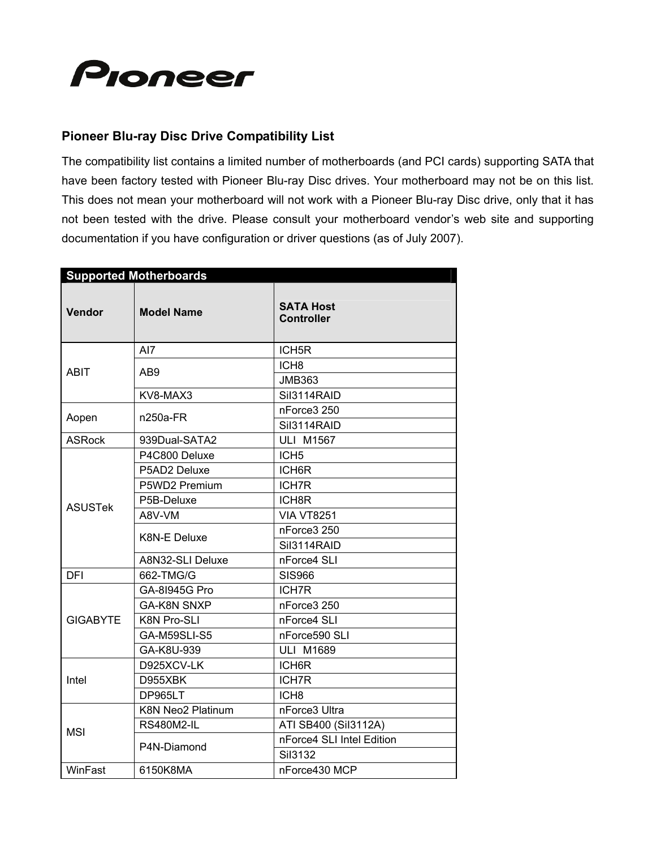

## **Pioneer Blu-ray Disc Drive Compatibility List**

The compatibility list contains a limited number of motherboards (and PCI cards) supporting SATA that have been factory tested with Pioneer Blu-ray Disc drives. Your motherboard may not be on this list. This does not mean your motherboard will not work with a Pioneer Blu-ray Disc drive, only that it has not been tested with the drive. Please consult your motherboard vendor's web site and supporting documentation if you have configuration or driver questions (as of July 2007).

| <b>Supported Motherboards</b> |                          |                                       |  |
|-------------------------------|--------------------------|---------------------------------------|--|
| <b>Vendor</b>                 | <b>Model Name</b>        | <b>SATA Host</b><br><b>Controller</b> |  |
| <b>ABIT</b>                   | AI7                      | ICH <sub>5R</sub>                     |  |
|                               | AB <sub>9</sub>          | ICH <sub>8</sub>                      |  |
|                               |                          | <b>JMB363</b>                         |  |
|                               | KV8-MAX3                 | Sil3114RAID                           |  |
| Aopen                         | $n250a-FR$               | nForce3 250                           |  |
|                               |                          | Sil3114RAID                           |  |
| <b>ASRock</b>                 | 939Dual-SATA2            | <b>ULI M1567</b>                      |  |
|                               | P4C800 Deluxe            | ICH <sub>5</sub>                      |  |
|                               | P5AD2 Deluxe             | ICH6R                                 |  |
|                               | P5WD2 Premium            | <b>ICH7R</b>                          |  |
|                               | P5B-Deluxe               | ICH8R                                 |  |
| <b>ASUSTek</b>                | A8V-VM                   | <b>VIA VT8251</b>                     |  |
|                               | K8N-E Deluxe             | nForce3 250                           |  |
|                               |                          | Sil3114RAID                           |  |
|                               | A8N32-SLI Deluxe         | nForce4 SLI                           |  |
| <b>DFI</b>                    | 662-TMG/G                | <b>SIS966</b>                         |  |
| <b>GIGABYTE</b>               | GA-81945G Pro            | <b>ICH7R</b>                          |  |
|                               | <b>GA-K8N SNXP</b>       | nForce3 250                           |  |
|                               | K8N Pro-SLI              | nForce4 SLI                           |  |
|                               | GA-M59SLI-S5             | nForce590 SLI                         |  |
|                               | GA-K8U-939               | <b>ULI M1689</b>                      |  |
| Intel                         | D925XCV-LK               | ICH6R                                 |  |
|                               | D955XBK                  | <b>ICH7R</b>                          |  |
|                               | DP965LT                  | ICH <sub>8</sub>                      |  |
| <b>MSI</b>                    | <b>K8N Neo2 Platinum</b> | nForce3 Ultra                         |  |
|                               | <b>RS480M2-IL</b>        | ATI SB400 (Sil3112A)                  |  |
|                               | P4N-Diamond              | nForce4 SLI Intel Edition             |  |
|                               |                          | Sil3132                               |  |
| WinFast                       | 6150K8MA                 | nForce430 MCP                         |  |